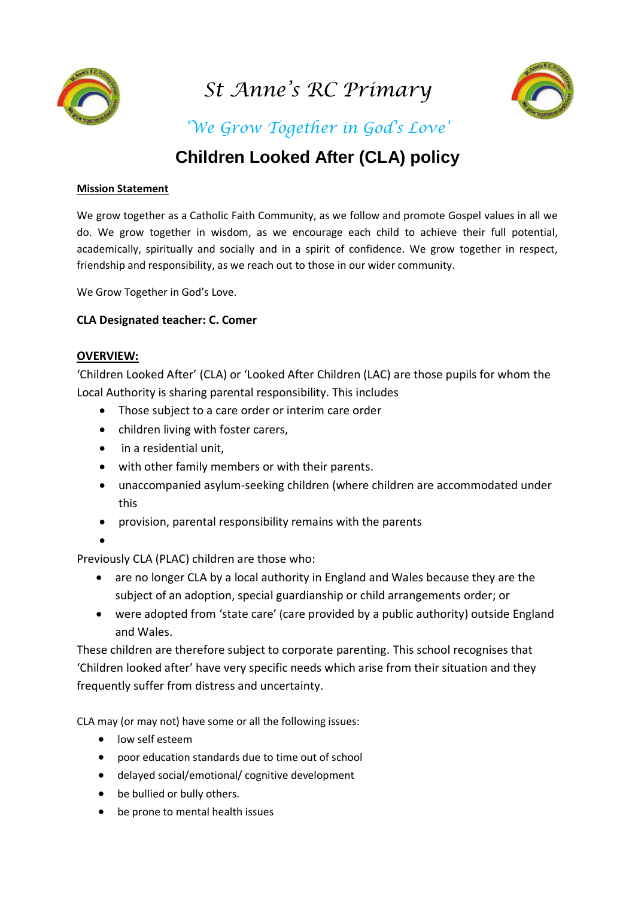

*St Anne's RC Primary*



*'We Grow Together in God's Love'*

# **Children Looked After (CLA) policy**

#### **Mission Statement**

We grow together as a Catholic Faith Community, as we follow and promote Gospel values in all we do. We grow together in wisdom, as we encourage each child to achieve their full potential, academically, spiritually and socially and in a spirit of confidence. We grow together in respect, friendship and responsibility, as we reach out to those in our wider community.

We Grow Together in God's Love.

#### **CLA Designated teacher: C. Comer**

#### **OVERVIEW:**

'Children Looked After' (CLA) or 'Looked After Children (LAC) are those pupils for whom the Local Authority is sharing parental responsibility. This includes

- Those subject to a care order or interim care order
- children living with foster carers,
- in a residential unit,
- with other family members or with their parents.
- unaccompanied asylum-seeking children (where children are accommodated under this
- provision, parental responsibility remains with the parents
- 

 $\bullet$ 

Previously CLA (PLAC) children are those who:

- are no longer CLA by a local authority in England and Wales because they are the subject of an adoption, special guardianship or child arrangements order; or
- were adopted from 'state care' (care provided by a public authority) outside England and Wales.

These children are therefore subject to corporate parenting. This school recognises that 'Children looked after' have very specific needs which arise from their situation and they frequently suffer from distress and uncertainty.

CLA may (or may not) have some or all the following issues:

- low self esteem
- poor education standards due to time out of school
- delayed social/emotional/ cognitive development
- be bullied or bully others.
- be prone to mental health issues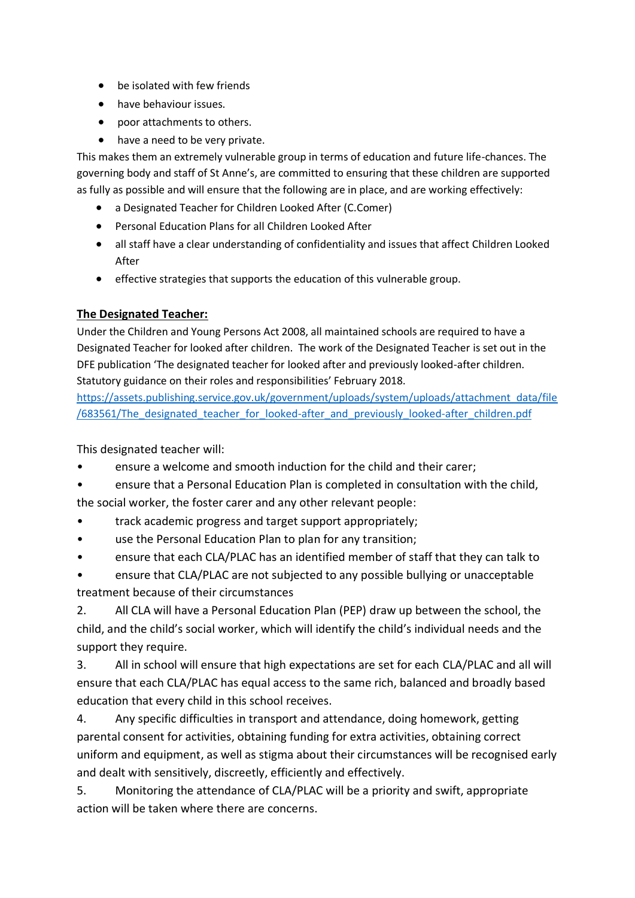- be isolated with few friends
- have behaviour issues.
- poor attachments to others.
- have a need to be very private.

This makes them an extremely vulnerable group in terms of education and future life-chances. The governing body and staff of St Anne's, are committed to ensuring that these children are supported as fully as possible and will ensure that the following are in place, and are working effectively:

- a Designated Teacher for Children Looked After (C.Comer)
- Personal Education Plans for all Children Looked After
- all staff have a clear understanding of confidentiality and issues that affect Children Looked After
- effective strategies that supports the education of this vulnerable group.

#### **The Designated Teacher:**

Under the Children and Young Persons Act 2008, all maintained schools are required to have a Designated Teacher for looked after children. The work of the Designated Teacher is set out in the DFE publication 'The designated teacher for looked after and previously looked-after children. Statutory guidance on their roles and responsibilities' February 2018.

[https://assets.publishing.service.gov.uk/government/uploads/system/uploads/attachment\\_data/file](https://assets.publishing.service.gov.uk/government/uploads/system/uploads/attachment_data/file/683561/The_designated_teacher_for_looked-after_and_previously_looked-after_children.pdf) /683561/The designated teacher for looked-after and previously looked-after children.pdf

This designated teacher will:

- ensure a welcome and smooth induction for the child and their carer;
- ensure that a Personal Education Plan is completed in consultation with the child, the social worker, the foster carer and any other relevant people:
- track academic progress and target support appropriately;
- use the Personal Education Plan to plan for any transition;
- ensure that each CLA/PLAC has an identified member of staff that they can talk to
- ensure that CLA/PLAC are not subjected to any possible bullying or unacceptable treatment because of their circumstances

2. All CLA will have a Personal Education Plan (PEP) draw up between the school, the child, and the child's social worker, which will identify the child's individual needs and the support they require.

3. All in school will ensure that high expectations are set for each CLA/PLAC and all will ensure that each CLA/PLAC has equal access to the same rich, balanced and broadly based education that every child in this school receives.

4. Any specific difficulties in transport and attendance, doing homework, getting parental consent for activities, obtaining funding for extra activities, obtaining correct uniform and equipment, as well as stigma about their circumstances will be recognised early and dealt with sensitively, discreetly, efficiently and effectively.

5. Monitoring the attendance of CLA/PLAC will be a priority and swift, appropriate action will be taken where there are concerns.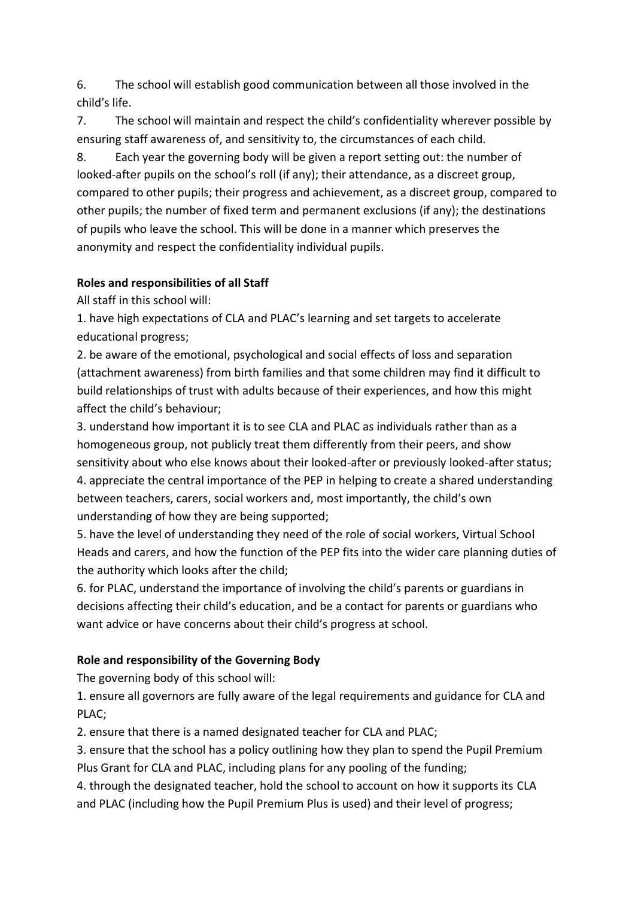6. The school will establish good communication between all those involved in the child's life.

7. The school will maintain and respect the child's confidentiality wherever possible by ensuring staff awareness of, and sensitivity to, the circumstances of each child.

8. Each year the governing body will be given a report setting out: the number of looked-after pupils on the school's roll (if any); their attendance, as a discreet group, compared to other pupils; their progress and achievement, as a discreet group, compared to other pupils; the number of fixed term and permanent exclusions (if any); the destinations of pupils who leave the school. This will be done in a manner which preserves the anonymity and respect the confidentiality individual pupils.

## **Roles and responsibilities of all Staff**

All staff in this school will:

1. have high expectations of CLA and PLAC's learning and set targets to accelerate educational progress;

2. be aware of the emotional, psychological and social effects of loss and separation (attachment awareness) from birth families and that some children may find it difficult to build relationships of trust with adults because of their experiences, and how this might affect the child's behaviour;

3. understand how important it is to see CLA and PLAC as individuals rather than as a homogeneous group, not publicly treat them differently from their peers, and show sensitivity about who else knows about their looked-after or previously looked-after status; 4. appreciate the central importance of the PEP in helping to create a shared understanding between teachers, carers, social workers and, most importantly, the child's own understanding of how they are being supported;

5. have the level of understanding they need of the role of social workers, Virtual School Heads and carers, and how the function of the PEP fits into the wider care planning duties of the authority which looks after the child;

6. for PLAC, understand the importance of involving the child's parents or guardians in decisions affecting their child's education, and be a contact for parents or guardians who want advice or have concerns about their child's progress at school.

# **Role and responsibility of the Governing Body**

The governing body of this school will:

1. ensure all governors are fully aware of the legal requirements and guidance for CLA and PLAC;

2. ensure that there is a named designated teacher for CLA and PLAC;

3. ensure that the school has a policy outlining how they plan to spend the Pupil Premium Plus Grant for CLA and PLAC, including plans for any pooling of the funding;

4. through the designated teacher, hold the school to account on how it supports its CLA and PLAC (including how the Pupil Premium Plus is used) and their level of progress;